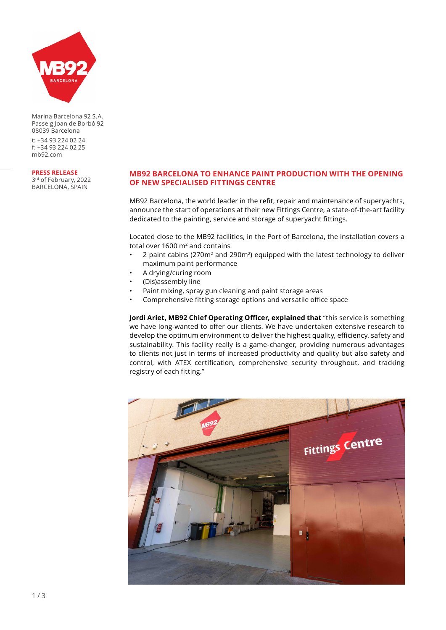

Marina Barcelona 92 S.A. Passeig Joan de Borbó 92 08039 Barcelona

t: +34 93 224 02 24 f: +34 93 224 02 25 mb92.com

**PRESS RELEASE**

3rd of February, 2022 BARCELONA, SPAIN

## **MB92 BARCELONA TO ENHANCE PAINT PRODUCTION WITH THE OPENING OF NEW SPECIALISED FITTINGS CENTRE**

MB92 Barcelona, the world leader in the refit, repair and maintenance of superyachts, announce the start of operations at their new Fittings Centre, a state-of-the-art facility dedicated to the painting, service and storage of superyacht fittings.

Located close to the MB92 facilities, in the Port of Barcelona, the installation covers a total over 1600  $m<sup>2</sup>$  and contains

- 2 paint cabins (270m<sup>2</sup> and 290m<sup>2</sup>) equipped with the latest technology to deliver maximum paint performance
- A drying/curing room
- (Dis)assembly line
- Paint mixing, spray gun cleaning and paint storage areas
- Comprehensive fitting storage options and versatile office space

**Jordi Ariet, MB92 Chief Operating Officer, explained that** "this service is something we have long-wanted to offer our clients. We have undertaken extensive research to develop the optimum environment to deliver the highest quality, efficiency, safety and sustainability. This facility really is a game-changer, providing numerous advantages to clients not just in terms of increased productivity and quality but also safety and control, with ATEX certification, comprehensive security throughout, and tracking registry of each fitting."

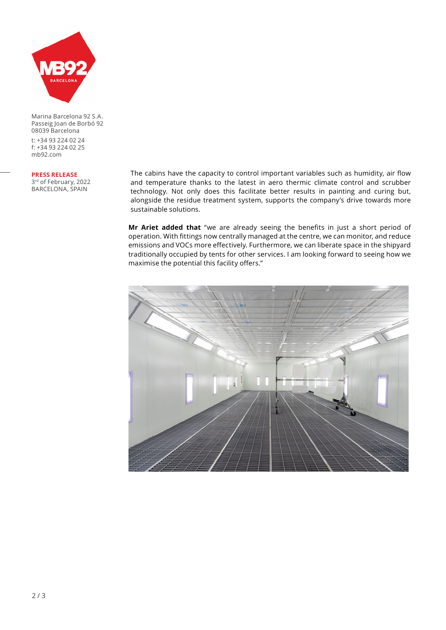

Marina Barcelona 92 S.A. Passeig Joan de Borbó 92 08039 Barcelona

t: +34 93 224 02 24 f: +34 93 224 02 25 mb92.com

### **PRESS RELEASE**

3rd of February, 2022 BARCELONA, SPAIN

The cabins have the capacity to control important variables such as humidity, air flow and temperature thanks to the latest in aero thermic climate control and scrubber technology. Not only does this facilitate better results in painting and curing but, alongside the residue treatment system, supports the company's drive towards more sustainable solutions.

**Mr Ariet added that** "we are already seeing the benefits in just a short period of operation. With fittings now centrally managed at the centre, we can monitor, and reduce emissions and VOCs more effectively. Furthermore, we can liberate space in the shipyard traditionally occupied by tents for other services. I am looking forward to seeing how we maximise the potential this facility offers."